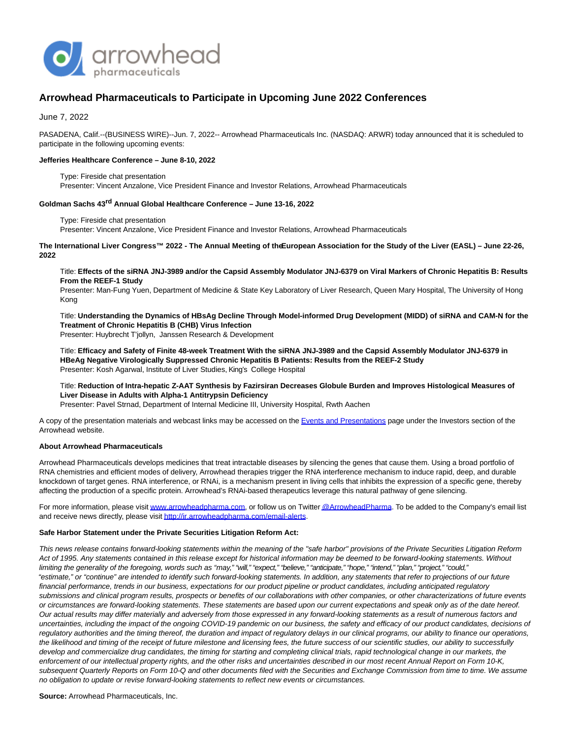

# **Arrowhead Pharmaceuticals to Participate in Upcoming June 2022 Conferences**

June 7, 2022

PASADENA, Calif.--(BUSINESS WIRE)--Jun. 7, 2022-- Arrowhead Pharmaceuticals Inc. (NASDAQ: ARWR) today announced that it is scheduled to participate in the following upcoming events:

## **Jefferies Healthcare Conference – June 8-10, 2022**

Type: Fireside chat presentation Presenter: Vincent Anzalone, Vice President Finance and Investor Relations, Arrowhead Pharmaceuticals

# **Goldman Sachs 43rd Annual Global Healthcare Conference – June 13-16, 2022**

Type: Fireside chat presentation

Presenter: Vincent Anzalone, Vice President Finance and Investor Relations, Arrowhead Pharmaceuticals

**The International Liver Congress™ 2022 - The Annual Meeting of the European Association for the Study of the Liver (EASL) – June 22-26, 2022**

Title: **Effects of the siRNA JNJ-3989 and/or the Capsid Assembly Modulator JNJ-6379 on Viral Markers of Chronic Hepatitis B: Results From the REEF-1 Study**

Presenter: Man-Fung Yuen, Department of Medicine & State Key Laboratory of Liver Research, Queen Mary Hospital, The University of Hong Kong

Title: **Understanding the Dynamics of HBsAg Decline Through Model-informed Drug Development (MIDD) of siRNA and CAM-N for the Treatment of Chronic Hepatitis B (CHB) Virus Infection**

Presenter: Huybrecht T'jollyn, Janssen Research & Development

Title: **Efficacy and Safety of Finite 48-week Treatment With the siRNA JNJ-3989 and the Capsid Assembly Modulator JNJ-6379 in HBeAg Negative Virologically Suppressed Chronic Hepatitis B Patients: Results from the REEF-2 Study** Presenter: Kosh Agarwal, Institute of Liver Studies, King's College Hospital

Title: **Reduction of Intra-hepatic Z-AAT Synthesis by Fazirsiran Decreases Globule Burden and Improves Histological Measures of Liver Disease in Adults with Alpha-1 Antitrypsin Deficiency**

Presenter: Pavel Strnad, Department of Internal Medicine III, University Hospital, Rwth Aachen

A copy of the presentation materials and webcast links may be accessed on th[e Events and Presentations p](https://cts.businesswire.com/ct/CT?id=smartlink&url=http%3A%2F%2Fir.arrowheadpharma.com%2Fevents.cfm&esheet=52741808&newsitemid=20220607005585&lan=en-US&anchor=Events+and+Presentations&index=1&md5=6d2334a0bfc779d10e8fdb5c649effee)age under the Investors section of the Arrowhead website.

## **About Arrowhead Pharmaceuticals**

Arrowhead Pharmaceuticals develops medicines that treat intractable diseases by silencing the genes that cause them. Using a broad portfolio of RNA chemistries and efficient modes of delivery, Arrowhead therapies trigger the RNA interference mechanism to induce rapid, deep, and durable knockdown of target genes. RNA interference, or RNAi, is a mechanism present in living cells that inhibits the expression of a specific gene, thereby affecting the production of a specific protein. Arrowhead's RNAi-based therapeutics leverage this natural pathway of gene silencing.

For more information, please visi[t www.arrowheadpharma.com,](https://cts.businesswire.com/ct/CT?id=smartlink&url=http%3A%2F%2Fwww.arrowheadpharma.com%2F&esheet=52741808&newsitemid=20220607005585&lan=en-US&anchor=www.arrowheadpharma.com&index=2&md5=b627acdae96df412f67530522944be72) or follow us on Twitte[r @ArrowheadPharma.](https://cts.businesswire.com/ct/CT?id=smartlink&url=http%3A%2F%2Fwww.twitter.com%2Farrowheadpharma&esheet=52741808&newsitemid=20220607005585&lan=en-US&anchor=%40ArrowheadPharma&index=3&md5=162b00261a5bc3e3b4dc0f047eed4d18) To be added to the Company's email list and receive news directly, please visi[t http://ir.arrowheadpharma.com/email-alerts.](https://cts.businesswire.com/ct/CT?id=smartlink&url=http%3A%2F%2Fir.arrowheadpharma.com%2Femail-alerts&esheet=52741808&newsitemid=20220607005585&lan=en-US&anchor=http%3A%2F%2Fir.arrowheadpharma.com%2Femail-alerts&index=4&md5=7e2a43c03e5ba28b92e9ec47e80ac21f)

#### **Safe Harbor Statement under the Private Securities Litigation Reform Act:**

This news release contains forward-looking statements within the meaning of the "safe harbor" provisions of the Private Securities Litigation Reform Act of 1995. Any statements contained in this release except for historical information may be deemed to be forward-looking statements. Without limiting the generality of the foregoing, words such as "may," "will," "expect," "believe," "anticipate," "hope," "intend," "plan," "project," "could," "estimate," or "continue" are intended to identify such forward-looking statements. In addition, any statements that refer to projections of our future financial performance, trends in our business, expectations for our product pipeline or product candidates, including anticipated regulatory submissions and clinical program results, prospects or benefits of our collaborations with other companies, or other characterizations of future events or circumstances are forward-looking statements. These statements are based upon our current expectations and speak only as of the date hereof. Our actual results may differ materially and adversely from those expressed in any forward-looking statements as a result of numerous factors and uncertainties, including the impact of the ongoing COVID-19 pandemic on our business, the safety and efficacy of our product candidates, decisions of regulatory authorities and the timing thereof, the duration and impact of regulatory delays in our clinical programs, our ability to finance our operations, the likelihood and timing of the receipt of future milestone and licensing fees, the future success of our scientific studies, our ability to successfully develop and commercialize drug candidates, the timing for starting and completing clinical trials, rapid technological change in our markets, the enforcement of our intellectual property rights, and the other risks and uncertainties described in our most recent Annual Report on Form 10-K, subsequent Quarterly Reports on Form 10-Q and other documents filed with the Securities and Exchange Commission from time to time. We assume no obligation to update or revise forward-looking statements to reflect new events or circumstances.